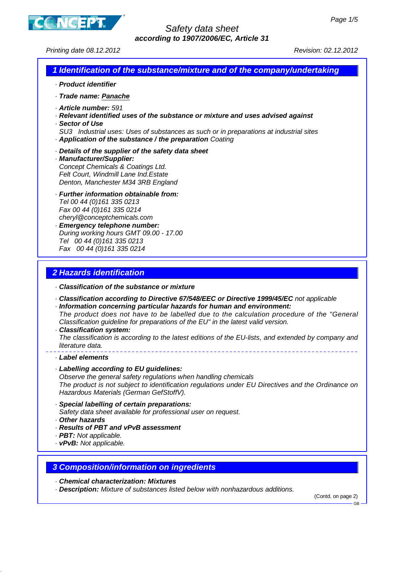

Printing date 08.12.2012 Revision: 02.12.2012

## **1 Identification of the substance/mixture and of the company/undertaking**

- · **Product identifier**
- · **Trade name: Panache**
- · **Article number:** 591
- · **Relevant identified uses of the substance or mixture and uses advised against**
- · **Sector of Use**
- SU3 Industrial uses: Uses of substances as such or in preparations at industrial sites · **Application of the substance / the preparation** Coating
- · **Details of the supplier of the safety data sheet**
- · **Manufacturer/Supplier:** Concept Chemicals & Coatings Ltd. Felt Court, Windmill Lane Ind.Estate Denton, Manchester M34 3RB England
- · **Further information obtainable from:** Tel 00 44 (0)161 335 0213 Fax 00 44 (0)161 335 0214 cheryl@conceptchemicals.com
- · **Emergency telephone number:** During working hours GMT 09.00 - 17.00 Tel 00 44 (0)161 335 0213 Fax 00 44 (0)161 335 0214

### **2 Hazards identification**

- · **Classification of the substance or mixture**
- · **Classification according to Directive 67/548/EEC or Directive 1999/45/EC** not applicable
- · **Information concerning particular hazards for human and environment:** The product does not have to be labelled due to the calculation procedure of the "General Classification guideline for preparations of the EU" in the latest valid version.
- · **Classification system:**

The classification is according to the latest editions of the EU-lists, and extended by company and literature data.

- · **Label elements**
- · **Labelling according to EU guidelines:**

Observe the general safety regulations when handling chemicals The product is not subject to identification regulations under EU Directives and the Ordinance on Hazardous Materials (German GefStoffV).

- · **Special labelling of certain preparations:** Safety data sheet available for professional user on request.
- · **Other hazards**
- · **Results of PBT and vPvB assessment**
- · **PBT:** Not applicable.
- · **vPvB:** Not applicable.

#### **3 Composition/information on ingredients**

- · **Chemical characterization: Mixtures**
- · **Description:** Mixture of substances listed below with nonhazardous additions.

(Contd. on page 2)

GB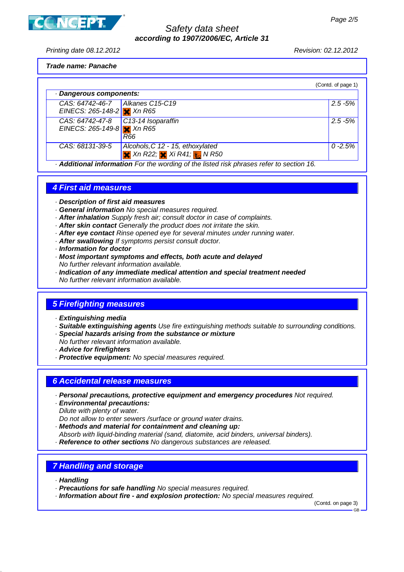

Printing date 08.12.2012 Revision: 02.12.2012

# **Trade name: Panache**

|                                                                                        |                                                                                      | (Contd. of page 1) |  |
|----------------------------------------------------------------------------------------|--------------------------------------------------------------------------------------|--------------------|--|
| · Dangerous components:                                                                |                                                                                      |                    |  |
| CAS: 64742-46-7   Alkanes C15-C19<br>EINECS: 265-148-2 $x$ Xn R65                      |                                                                                      | $2.5 - 5%$         |  |
| CAS: 64742-47-8<br>EINECS: 265-149-8 $\times$ Xn R65                                   | $\vert$ C13-14 Isoparaffin<br>R66                                                    | $2.5 - 5%$         |  |
| CAS: 68131-39-5                                                                        | Alcohols, C 12 - 15, ethoxylated<br>$\times$ Xn R22; $\times$ Xi R41; $\times$ N R50 | $0 - 2.5%$         |  |
| Additional information For the wording of the listed risk phrases refer to section 16. |                                                                                      |                    |  |

### **4 First aid measures**

- · **Description of first aid measures**
- · **General information** No special measures required.
- · **After inhalation** Supply fresh air; consult doctor in case of complaints.
- · **After skin contact** Generally the product does not irritate the skin.
- · **After eye contact** Rinse opened eye for several minutes under running water.
- · **After swallowing** If symptoms persist consult doctor.
- · **Information for doctor**
- · **Most important symptoms and effects, both acute and delayed** No further relevant information available.
- · **Indication of any immediate medical attention and special treatment needed** No further relevant information available.

### **5 Firefighting measures**

- · **Extinguishing media**
- · **Suitable extinguishing agents** Use fire extinguishing methods suitable to surrounding conditions.
- · **Special hazards arising from the substance or mixture**
- No further relevant information available.
- · **Advice for firefighters**
- · **Protective equipment:** No special measures required.

#### **6 Accidental release measures**

- · **Personal precautions, protective equipment and emergency procedures** Not required.
- · **Environmental precautions:** Dilute with plenty of water.
- Do not allow to enter sewers /surface or ground water drains.
- · **Methods and material for containment and cleaning up:**
- Absorb with liquid-binding material (sand, diatomite, acid binders, universal binders).
- · **Reference to other sections** No dangerous substances are released.

### **7 Handling and storage**

- · **Handling**
- · **Precautions for safe handling** No special measures required.
- · **Information about fire and explosion protection:** No special measures required.

(Contd. on page 3)

GB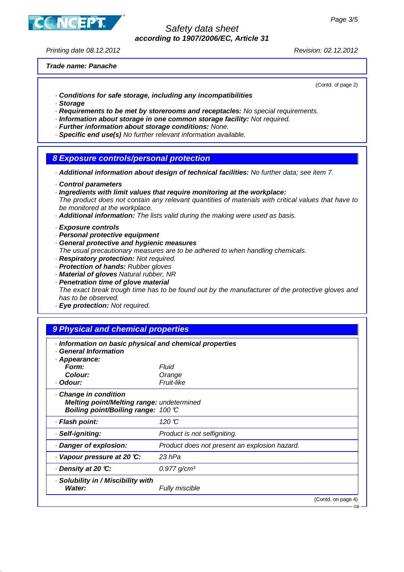

Printing date 08.12.2012 Revision: 02.12.2012

**Trade name: Panache**

(Contd. of page 2)

 $\sim$ 

- · **Conditions for safe storage, including any incompatibilities**
- · **Storage**
- · **Requirements to be met by storerooms and receptacles:** No special requirements.
- · **Information about storage in one common storage facility:** Not required.
- · **Further information about storage conditions:** None.
- · **Specific end use(s)** No further relevant information available.

#### **8 Exposure controls/personal protection**

· **Additional information about design of technical facilities:** No further data; see item 7.

- · **Control parameters**
- · **Ingredients with limit values that require monitoring at the workplace:** The product does not contain any relevant quantities of materials with critical values that have to be monitored at the workplace.
- · **Additional information:** The lists valid during the making were used as basis.
- · **Exposure controls**
- · **Personal protective equipment**
- · **General protective and hygienic measures**
- The usual precautionary measures are to be adhered to when handling chemicals.
- · **Respiratory protection:** Not required.
- · **Protection of hands:** Rubber gloves
- · **Material of gloves** Natural rubber, NR
- · **Penetration time of glove material**

The exact break trough time has to be found out by the manufacturer of the protective gloves and has to be observed.

· **Eye protection:** Not required.

#### **9 Physical and chemical properties**

| · Information on basic physical and chemical properties<br><b>General Information</b>                   |                                               |                    |
|---------------------------------------------------------------------------------------------------------|-----------------------------------------------|--------------------|
| · Appearance:                                                                                           |                                               |                    |
| Form:                                                                                                   | Fluid                                         |                    |
| Colour:                                                                                                 | Orange                                        |                    |
| · Odour:                                                                                                | Fruit-like                                    |                    |
| Change in condition<br>Melting point/Melting range: undetermined<br>Boiling point/Boiling range: 100 °C |                                               |                    |
| · Flash point:                                                                                          | 120 $\mathbb C$                               |                    |
| · Self-igniting:                                                                                        | Product is not selfigniting.                  |                    |
| Danger of explosion:                                                                                    | Product does not present an explosion hazard. |                    |
| Vapour pressure at 20 °C:                                                                               | 23 hPa                                        |                    |
| ⋅ Density at 20 ℃:                                                                                      | $0.977$ g/cm <sup>3</sup>                     |                    |
| · Solubility in / Miscibility with<br>Water:                                                            | Fully miscible                                |                    |
|                                                                                                         |                                               | (Contd. on page 4) |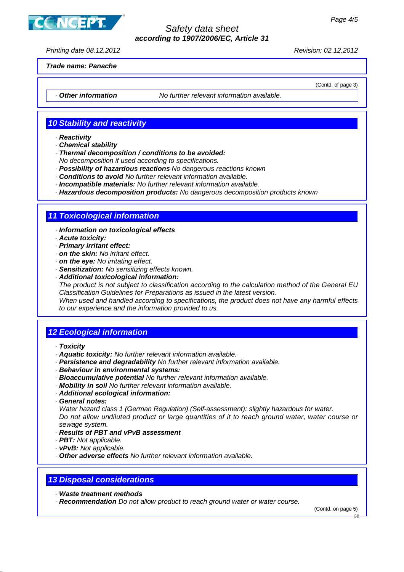**ICEPT** 

### Safety data sheet **according to 1907/2006/EC, Article 31**

Printing date 08.12.2012 Revision: 02.12.2012

(Contd. of page 3)

**Trade name: Panache**

· **Other information** No further relevant information available.

### **10 Stability and reactivity**

- · **Reactivity**
- · **Chemical stability**
- · **Thermal decomposition / conditions to be avoided:** No decomposition if used according to specifications.
- · **Possibility of hazardous reactions** No dangerous reactions known
- · **Conditions to avoid** No further relevant information available.
- · **Incompatible materials:** No further relevant information available.
- · **Hazardous decomposition products:** No dangerous decomposition products known

# **11 Toxicological information**

- · **Information on toxicological effects**
- · **Acute toxicity:**
- · **Primary irritant effect:**
- · **on the skin:** No irritant effect.
- · **on the eye:** No irritating effect.
- · **Sensitization:** No sensitizing effects known.
- · **Additional toxicological information:**

The product is not subject to classification according to the calculation method of the General EU Classification Guidelines for Preparations as issued in the latest version.

When used and handled according to specifications, the product does not have any harmful effects to our experience and the information provided to us.

### **12 Ecological information**

- · **Toxicity**
- · **Aquatic toxicity:** No further relevant information available.
- · **Persistence and degradability** No further relevant information available.
- · **Behaviour in environmental systems:**
- · **Bioaccumulative potential** No further relevant information available.
- · **Mobility in soil** No further relevant information available.
- · **Additional ecological information:**
- · **General notes:**

Water hazard class 1 (German Regulation) (Self-assessment): slightly hazardous for water. Do not allow undiluted product or large quantities of it to reach ground water, water course or sewage system.

- · **Results of PBT and vPvB assessment**
- · **PBT:** Not applicable.
- · **vPvB:** Not applicable.
- · **Other adverse effects** No further relevant information available.

### **13 Disposal considerations**

- · **Waste treatment methods**
- · **Recommendation** Do not allow product to reach ground water or water course.

(Contd. on page 5)

GB